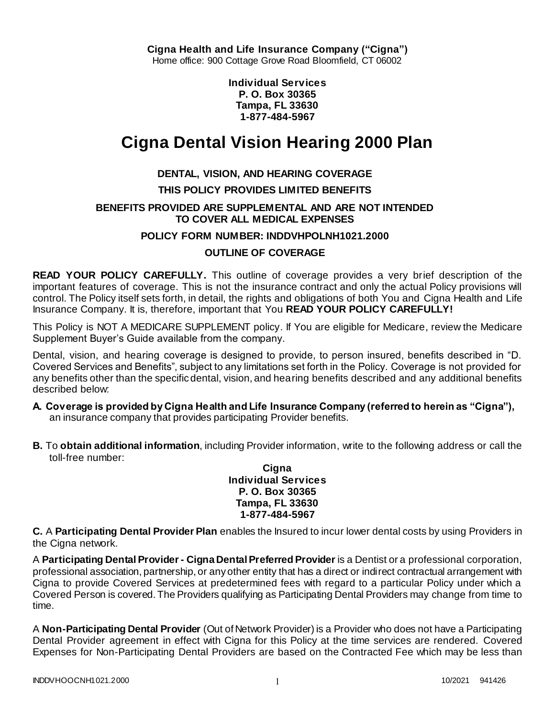**Cigna Health and Life Insurance Company ("Cigna")** Home office: 900 Cottage Grove Road Bloomfield, CT 06002

> **Individual Services P. O. Box 30365 Tampa, FL 33630 1-877-484-5967**

# **Cigna Dental Vision Hearing 2000 Plan**

# **DENTAL, VISION, AND HEARING COVERAGE**

## **THIS POLICY PROVIDES LIMITED BENEFITS**

### **BENEFITS PROVIDED ARE SUPPLEMENTAL AND ARE NOT INTENDED TO COVER ALL MEDICAL EXPENSES**

## **POLICY FORM NUMBER: INDDVHPOLNH1021.2000**

## **OUTLINE OF COVERAGE**

**READ YOUR POLICY CAREFULLY.** This outline of coverage provides a very brief description of the important features of coverage. This is not the insurance contract and only the actual Policy provisions will control. The Policy itself sets forth, in detail, the rights and obligations of both You and Cigna Health and Life Insurance Company. It is, therefore, important that You **READ YOUR POLICY CAREFULLY!** 

This Policy is NOT A MEDICARE SUPPLEMENT policy. If You are eligible for Medicare, review the Medicare Supplement Buyer's Guide available from the company.

Dental, vision, and hearing coverage is designed to provide, to person insured, benefits described in "D. Covered Services and Benefits", subject to any limitations set forth in the Policy. Coverage is not provided for any benefits other than the specific dental, vision, and hearing benefits described and any additional benefits described below:

- **A. Coverage is provided by Cigna Health and Life Insurance Company (referred to herein as "Cigna"),**  an insurance company that provides participating Provider benefits.
- **B.** To **obtain additional information**, including Provider information, write to the following address or call the toll-free number:

**Cigna Individual Services P. O. Box 30365 Tampa, FL 33630 1-877-484-5967**

**C.** A **Participating Dental Provider Plan** enables the Insured to incur lower dental costs by using Providers in the Cigna network.

A **Participating Dental Provider - Cigna Dental Preferred Provider** is a Dentist or a professional corporation, professional association, partnership, or any other entity that has a direct or indirect contractual arrangement with Cigna to provide Covered Services at predetermined fees with regard to a particular Policy under which a Covered Person is covered. The Providers qualifying as Participating Dental Providers may change from time to time.

A **Non-Participating Dental Provider** (Out of Network Provider) is a Provider who does not have a Participating Dental Provider agreement in effect with Cigna for this Policy at the time services are rendered. Covered Expenses for Non-Participating Dental Providers are based on the Contracted Fee which may be less than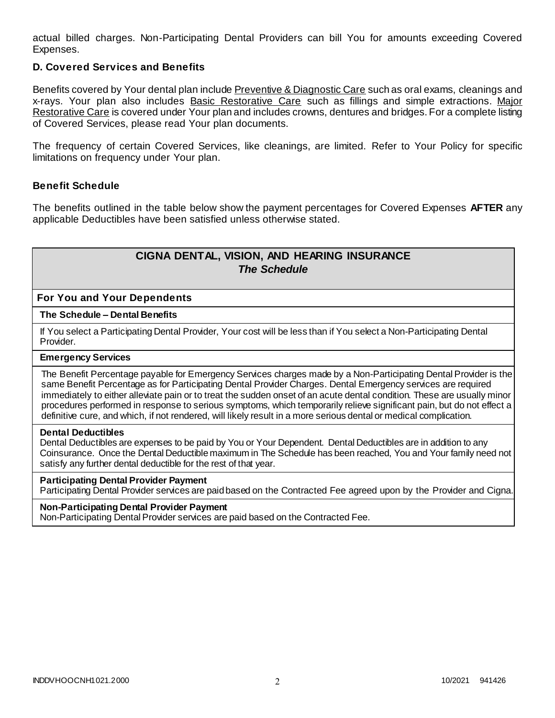actual billed charges. Non-Participating Dental Providers can bill You for amounts exceeding Covered Expenses.

# **D. Covered Services and Benefits**

Benefits covered by Your dental plan include Preventive & Diagnostic Care such as oral exams, cleanings and x-rays. Your plan also includes Basic Restorative Care such as fillings and simple extractions. Major Restorative Care is covered under Your plan and includes crowns, dentures and bridges. For a complete listing of Covered Services, please read Your plan documents.

The frequency of certain Covered Services, like cleanings, are limited. Refer to Your Policy for specific limitations on frequency under Your plan.

## **Benefit Schedule**

The benefits outlined in the table below show the payment percentages for Covered Expenses **AFTER** any applicable Deductibles have been satisfied unless otherwise stated.

# **CIGNA DENTAL, VISION, AND HEARING INSURANCE** *The Schedule*

**For You and Your Dependents**

#### **The Schedule – Dental Benefits**

If You select a Participating Dental Provider, Your cost will be less than if You select a Non-Participating Dental Provider.

#### **Emergency Services**

The Benefit Percentage payable for Emergency Services charges made by a Non-Participating Dental Provider is the same Benefit Percentage as for Participating Dental Provider Charges. Dental Emergency services are required immediately to either alleviate pain or to treat the sudden onset of an acute dental condition. These are usually minor procedures performed in response to serious symptoms, which temporarily relieve significant pain, but do not effect a definitive cure, and which, if not rendered, will likely result in a more serious dental or medical complication.

#### **Dental Deductibles**

Dental Deductibles are expenses to be paid by You or Your Dependent. Dental Deductibles are in addition to any Coinsurance. Once the Dental Deductible maximum in The Schedule has been reached, You and Your family need not satisfy any further dental deductible for the rest of that year.

#### **Participating Dental Provider Payment**

Participating Dental Provider services are paid based on the Contracted Fee agreed upon by the Provider and Cigna.

#### **Non-Participating Dental Provider Payment**

Non-Participating Dental Provider services are paid based on the Contracted Fee.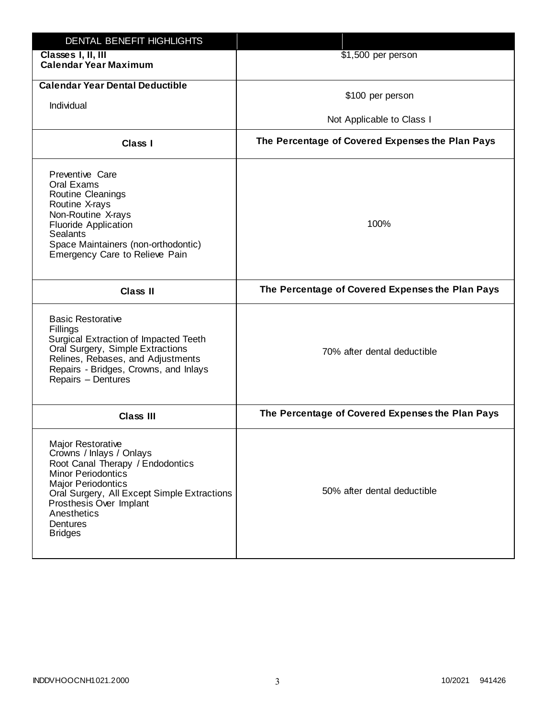| DENTAL BENEFIT HIGHLIGHTS                                                                                                                                                                                                                                          |                                                  |
|--------------------------------------------------------------------------------------------------------------------------------------------------------------------------------------------------------------------------------------------------------------------|--------------------------------------------------|
| Classes I, II, III<br><b>Calendar Year Maximum</b>                                                                                                                                                                                                                 | \$1,500 per person                               |
| <b>Calendar Year Dental Deductible</b><br>Individual                                                                                                                                                                                                               | \$100 per person<br>Not Applicable to Class I    |
| Class I                                                                                                                                                                                                                                                            | The Percentage of Covered Expenses the Plan Pays |
| Preventive Care<br>Oral Exams<br>Routine Cleanings<br>Routine X-rays<br>Non-Routine X-rays<br><b>Fluoride Application</b><br><b>Sealants</b><br>Space Maintainers (non-orthodontic)<br>Emergency Care to Relieve Pain                                              | 100%                                             |
| <b>Class II</b>                                                                                                                                                                                                                                                    | The Percentage of Covered Expenses the Plan Pays |
| <b>Basic Restorative</b><br>Fillings<br>Surgical Extraction of Impacted Teeth<br>Oral Surgery, Simple Extractions<br>Relines, Rebases, and Adjustments<br>Repairs - Bridges, Crowns, and Inlays<br>Repairs - Dentures                                              | 70% after dental deductible                      |
| <b>Class III</b>                                                                                                                                                                                                                                                   | The Percentage of Covered Expenses the Plan Pays |
| Major Restorative<br>Crowns / Inlays / Onlays<br>Root Canal Therapy / Endodontics<br><b>Minor Periodontics</b><br><b>Major Periodontics</b><br>Oral Surgery, All Except Simple Extractions<br>Prosthesis Over Implant<br>Anesthetics<br>Dentures<br><b>Bridges</b> | 50% after dental deductible                      |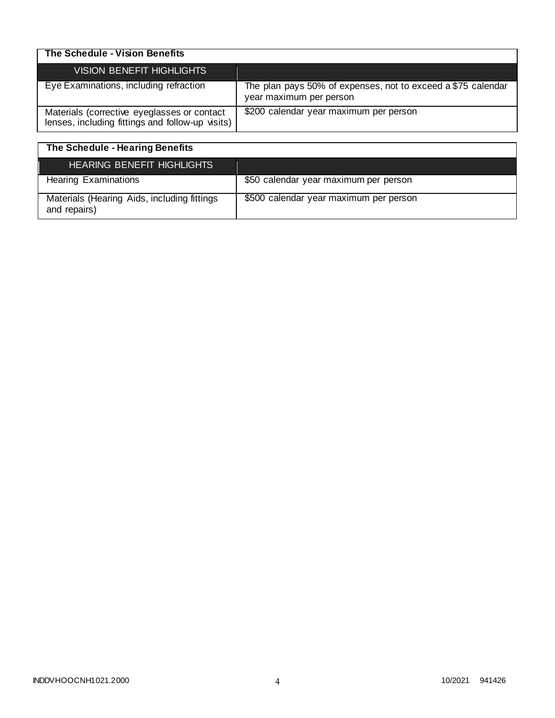| The Schedule - Vision Benefits                                                                  |                                                                                         |
|-------------------------------------------------------------------------------------------------|-----------------------------------------------------------------------------------------|
| VISION BENEFIT HIGHLIGHTS                                                                       |                                                                                         |
| Eye Examinations, including refraction                                                          | The plan pays 50% of expenses, not to exceed a \$75 calendar<br>year maximum per person |
| Materials (corrective eyeglasses or contact<br>lenses, including fittings and follow-up visits) | \$200 calendar year maximum per person                                                  |

| The Schedule - Hearing Benefits                             |                                        |
|-------------------------------------------------------------|----------------------------------------|
| <b>HEARING BENEFIT HIGHLIGHTS</b>                           |                                        |
| <b>Hearing Examinations</b>                                 | \$50 calendar year maximum per person  |
| Materials (Hearing Aids, including fittings<br>and repairs) | \$500 calendar year maximum per person |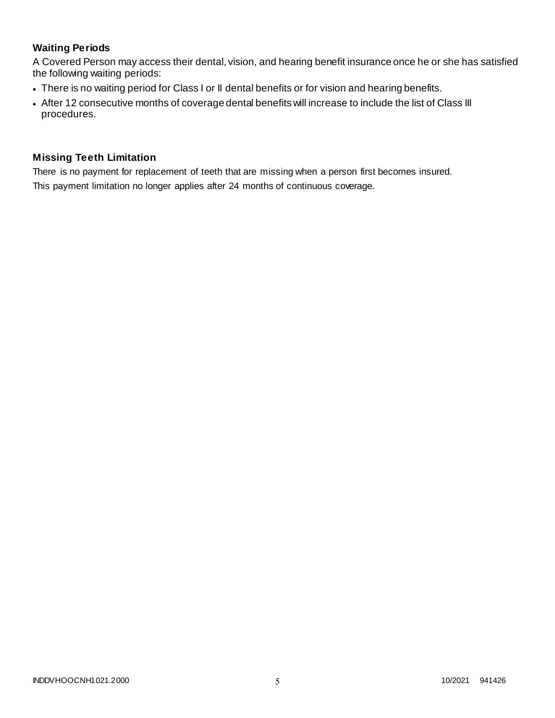# **Waiting Periods**

A Covered Person may access their dental, vision, and hearing benefit insurance once he or she has satisfied the following waiting periods:

- There is no waiting period for Class I or II dental benefits or for vision and hearing benefits.
- After 12 consecutive months of coverage dental benefits will increase to include the list of Class III procedures.

## **Missing Teeth Limitation**

There is no payment for replacement of teeth that are missing when a person first becomes insured. This payment limitation no longer applies after 24 months of continuous coverage.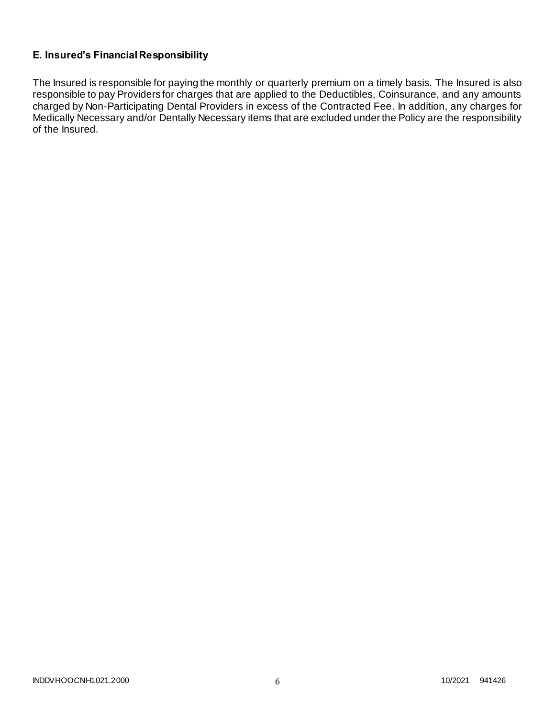# **E. Insured's Financial Responsibility**

The Insured is responsible for paying the monthly or quarterly premium on a timely basis. The Insured is also responsible to pay Providers for charges that are applied to the Deductibles, Coinsurance, and any amounts charged by Non-Participating Dental Providers in excess of the Contracted Fee. In addition, any charges for Medically Necessary and/or Dentally Necessary items that are excluded under the Policy are the responsibility of the Insured.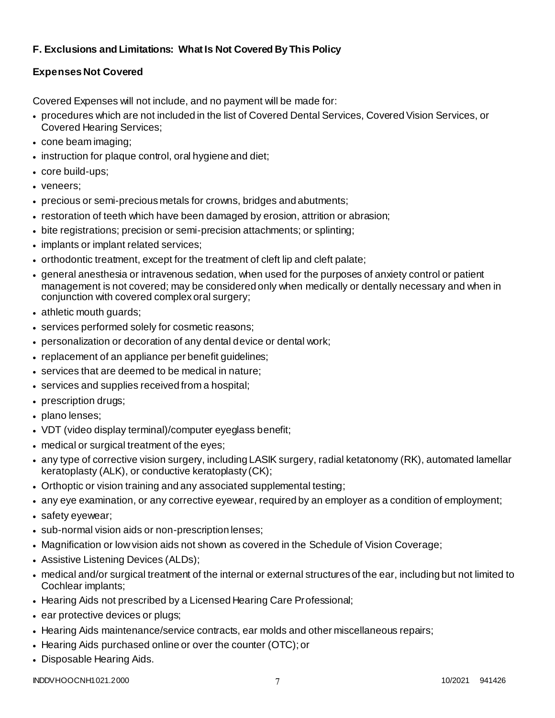# **F. Exclusions and Limitations: What Is Not Covered By This Policy**

# **Expenses Not Covered**

Covered Expenses will not include, and no payment will be made for:

- procedures which are not included in the list of Covered Dental Services, Covered Vision Services, or Covered Hearing Services;
- cone beam imaging;
- instruction for plaque control, oral hygiene and diet;
- core build-ups;
- veneers;
- precious or semi-precious metals for crowns, bridges and abutments;
- restoration of teeth which have been damaged by erosion, attrition or abrasion;
- bite registrations; precision or semi-precision attachments; or splinting;
- implants or implant related services;
- orthodontic treatment, except for the treatment of cleft lip and cleft palate;
- general anesthesia or intravenous sedation, when used for the purposes of anxiety control or patient management is not covered; may be considered only when medically or dentally necessary and when in conjunction with covered complex oral surgery;
- athletic mouth guards;
- services performed solely for cosmetic reasons;
- personalization or decoration of any dental device or dental work;
- replacement of an appliance per benefit guidelines;
- services that are deemed to be medical in nature;
- services and supplies received from a hospital;
- prescription drugs;
- plano lenses:
- VDT (video display terminal)/computer eyeglass benefit;
- medical or surgical treatment of the eyes;
- any type of corrective vision surgery, including LASIK surgery, radial ketatonomy (RK), automated lamellar keratoplasty (ALK), or conductive keratoplasty (CK);
- Orthoptic or vision training and any associated supplemental testing;
- any eye examination, or any corrective eyewear, required by an employer as a condition of employment;
- safety eyewear;
- sub-normal vision aids or non-prescription lenses;
- Magnification or low vision aids not shown as covered in the Schedule of Vision Coverage;
- Assistive Listening Devices (ALDs);
- medical and/or surgical treatment of the internal or external structures of the ear, including but not limited to Cochlear implants;
- Hearing Aids not prescribed by a Licensed Hearing Care Professional;
- ear protective devices or plugs;
- Hearing Aids maintenance/service contracts, ear molds and other miscellaneous repairs;
- Hearing Aids purchased online or over the counter (OTC); or
- Disposable Hearing Aids.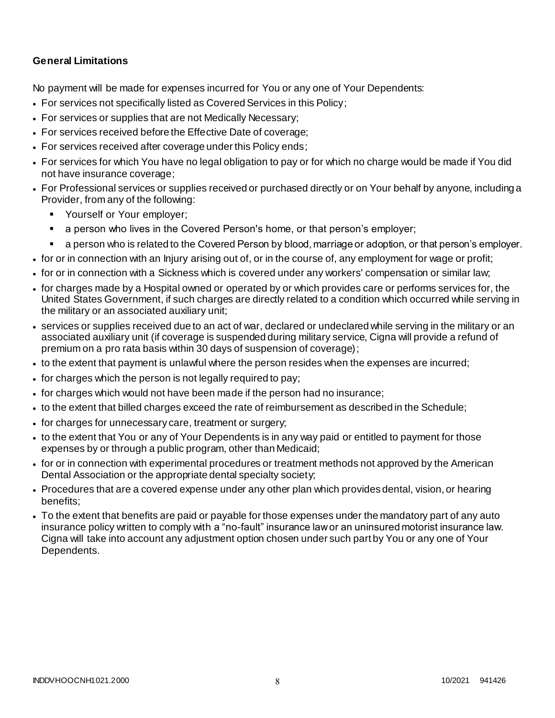# **General Limitations**

No payment will be made for expenses incurred for You or any one of Your Dependents:

- For services not specifically listed as Covered Services in this Policy;
- For services or supplies that are not Medically Necessary;
- For services received before the Effective Date of coverage;
- For services received after coverage under this Policy ends;
- For services for which You have no legal obligation to pay or for which no charge would be made if You did not have insurance coverage;
- For Professional services or supplies received or purchased directly or on Your behalf by anyone, including a Provider, from any of the following:
	- **Yourself or Your employer;**
	- a person who lives in the Covered Person's home, or that person's employer;
	- a person who is related to the Covered Person by blood, marriage or adoption, or that person's employer.
- for or in connection with an Injury arising out of, or in the course of, any employment for wage or profit;
- for or in connection with a Sickness which is covered under any workers' compensation or similar law;
- for charges made by a Hospital owned or operated by or which provides care or performs services for, the United States Government, if such charges are directly related to a condition which occurred while serving in the military or an associated auxiliary unit;
- services or supplies received due to an act of war, declared or undeclared while serving in the military or an associated auxiliary unit (if coverage is suspended during military service, Cigna will provide a refund of premium on a pro rata basis within 30 days of suspension of coverage);
- to the extent that payment is unlawful where the person resides when the expenses are incurred;
- for charges which the person is not legally required to pay;
- for charges which would not have been made if the person had no insurance;
- to the extent that billed charges exceed the rate of reimbursement as described in the Schedule;
- for charges for unnecessary care, treatment or surgery;
- to the extent that You or any of Your Dependents is in any way paid or entitled to payment for those expenses by or through a public program, other than Medicaid;
- for or in connection with experimental procedures or treatment methods not approved by the American Dental Association or the appropriate dental specialty society;
- Procedures that are a covered expense under any other plan which provides dental, vision, or hearing benefits;
- To the extent that benefits are paid or payable for those expenses under the mandatory part of any auto insurance policy written to comply with a "no-fault" insurance law or an uninsured motorist insurance law. Cigna will take into account any adjustment option chosen under such part by You or any one of Your Dependents.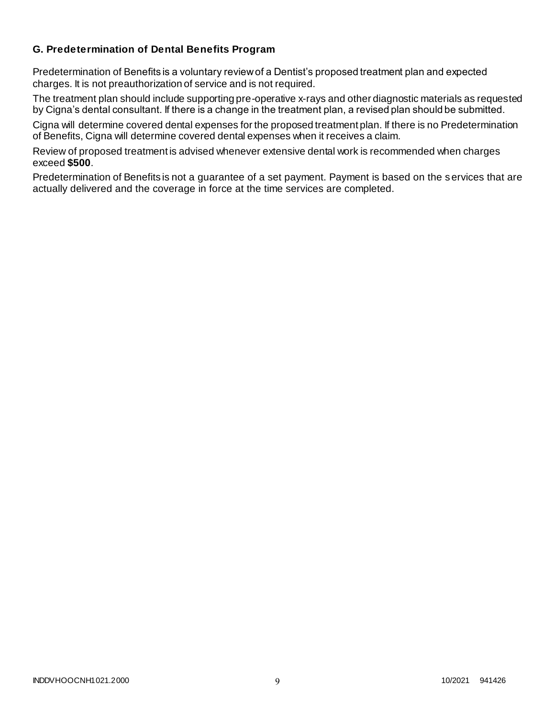# **G. Predetermination of Dental Benefits Program**

Predetermination of Benefits is a voluntary review of a Dentist's proposed treatment plan and expected charges. It is not preauthorization of service and is not required.

The treatment plan should include supporting pre-operative x-rays and other diagnostic materials as requested by Cigna's dental consultant. If there is a change in the treatment plan, a revised plan should be submitted.

Cigna will determine covered dental expenses for the proposed treatment plan. If there is no Predetermination of Benefits, Cigna will determine covered dental expenses when it receives a claim.

Review of proposed treatment is advised whenever extensive dental work is recommended when charges exceed **\$500**.

Predetermination of Benefits is not a guarantee of a set payment. Payment is based on the services that are actually delivered and the coverage in force at the time services are completed.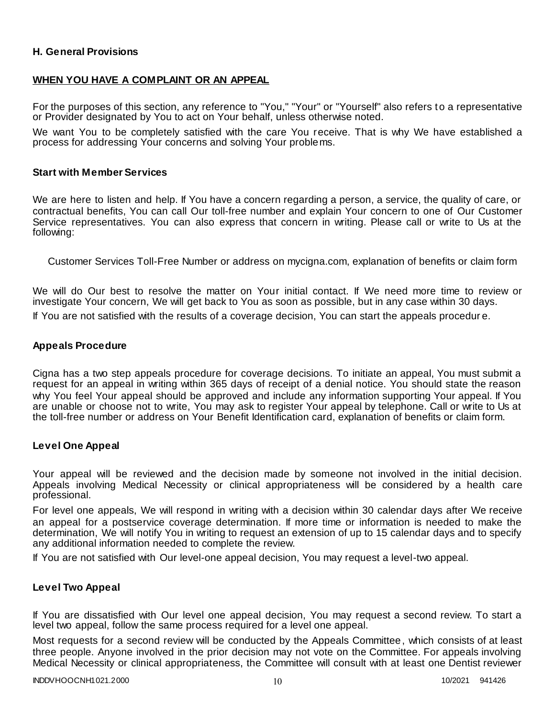# **H. General Provisions**

### **WHEN YOU HAVE A COMPLAINT OR AN APPEAL**

For the purposes of this section, any reference to "You," "Your" or "Yourself" also refers to a representative or Provider designated by You to act on Your behalf, unless otherwise noted.

We want You to be completely satisfied with the care You receive. That is why We have established a process for addressing Your concerns and solving Your problems.

### **Start with Member Services**

We are here to listen and help. If You have a concern regarding a person, a service, the quality of care, or contractual benefits, You can call Our toll-free number and explain Your concern to one of Our Customer Service representatives. You can also express that concern in writing. Please call or write to Us at the following:

Customer Services Toll-Free Number or address on mycigna.com, explanation of benefits or claim form

We will do Our best to resolve the matter on Your initial contact. If We need more time to review or investigate Your concern, We will get back to You as soon as possible, but in any case within 30 days.

If You are not satisfied with the results of a coverage decision, You can start the appeals procedur e.

### **Appeals Procedure**

Cigna has a two step appeals procedure for coverage decisions. To initiate an appeal, You must submit a request for an appeal in writing within 365 days of receipt of a denial notice. You should state the reason why You feel Your appeal should be approved and include any information supporting Your appeal. If You are unable or choose not to write, You may ask to register Your appeal by telephone. Call or write to Us at the toll-free number or address on Your Benefit Identification card, explanation of benefits or claim form.

### **Level One Appeal**

Your appeal will be reviewed and the decision made by someone not involved in the initial decision. Appeals involving Medical Necessity or clinical appropriateness will be considered by a health care professional.

For level one appeals, We will respond in writing with a decision within 30 calendar days after We receive an appeal for a postservice coverage determination. If more time or information is needed to make the determination, We will notify You in writing to request an extension of up to 15 calendar days and to specify any additional information needed to complete the review.

If You are not satisfied with Our level-one appeal decision, You may request a level-two appeal.

### **Level Two Appeal**

If You are dissatisfied with Our level one appeal decision, You may request a second review. To start a level two appeal, follow the same process required for a level one appeal.

Most requests for a second review will be conducted by the Appeals Committee, which consists of at least three people. Anyone involved in the prior decision may not vote on the Committee. For appeals involving Medical Necessity or clinical appropriateness, the Committee will consult with at least one Dentist reviewer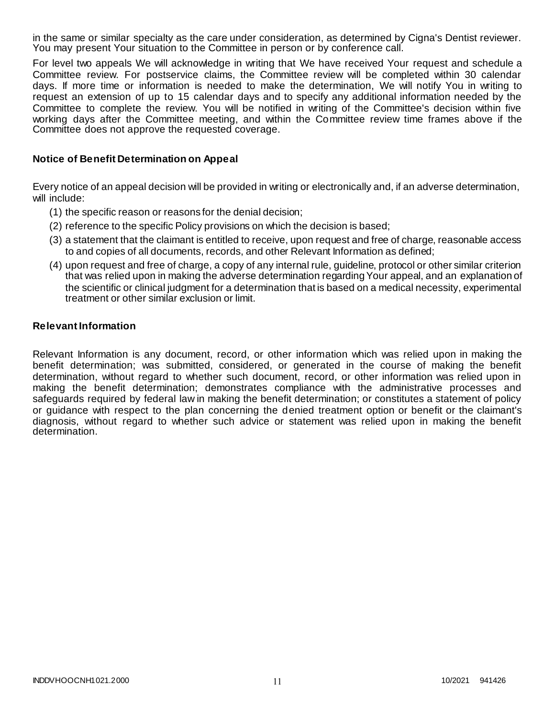in the same or similar specialty as the care under consideration, as determined by Cigna's Dentist reviewer. You may present Your situation to the Committee in person or by conference call.

For level two appeals We will acknowledge in writing that We have received Your request and schedule a Committee review. For postservice claims, the Committee review will be completed within 30 calendar days. If more time or information is needed to make the determination, We will notify You in writing to request an extension of up to 15 calendar days and to specify any additional information needed by the Committee to complete the review. You will be notified in writing of the Committee's decision within five working days after the Committee meeting, and within the Committee review time frames above if the Committee does not approve the requested coverage.

### **Notice of Benefit Determination on Appeal**

Every notice of an appeal decision will be provided in writing or electronically and, if an adverse determination, will include:

- (1) the specific reason or reasons for the denial decision;
- (2) reference to the specific Policy provisions on which the decision is based;
- (3) a statement that the claimant is entitled to receive, upon request and free of charge, reasonable access to and copies of all documents, records, and other Relevant Information as defined;
- (4) upon request and free of charge, a copy of any internal rule, guideline, protocol or other similar criterion that was relied upon in making the adverse determination regarding Your appeal, and an explanation of the scientific or clinical judgment for a determination that is based on a medical necessity, experimental treatment or other similar exclusion or limit.

### **Relevant Information**

Relevant Information is any document, record, or other information which was relied upon in making the benefit determination; was submitted, considered, or generated in the course of making the benefit determination, without regard to whether such document, record, or other information was relied upon in making the benefit determination; demonstrates compliance with the administrative processes and safeguards required by federal law in making the benefit determination; or constitutes a statement of policy or guidance with respect to the plan concerning the denied treatment option or benefit or the claimant's diagnosis, without regard to whether such advice or statement was relied upon in making the benefit determination.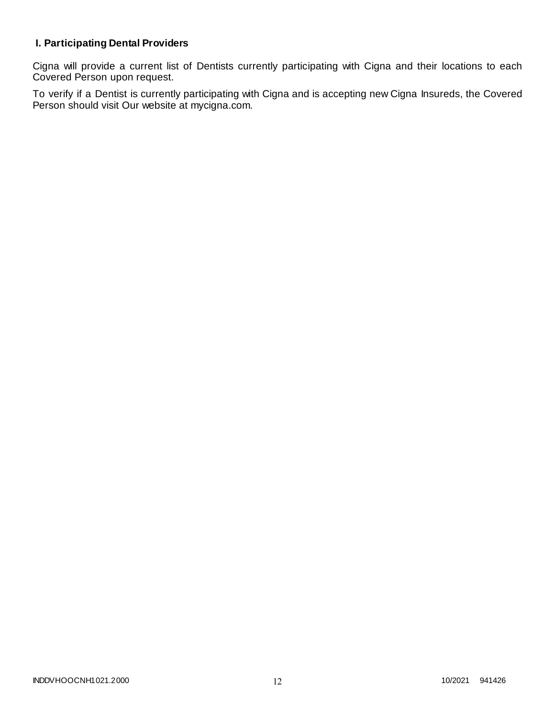# **I. Participating Dental Providers**

Cigna will provide a current list of Dentists currently participating with Cigna and their locations to each Covered Person upon request.

To verify if a Dentist is currently participating with Cigna and is accepting new Cigna Insureds, the Covered Person should visit Our website at mycigna.com.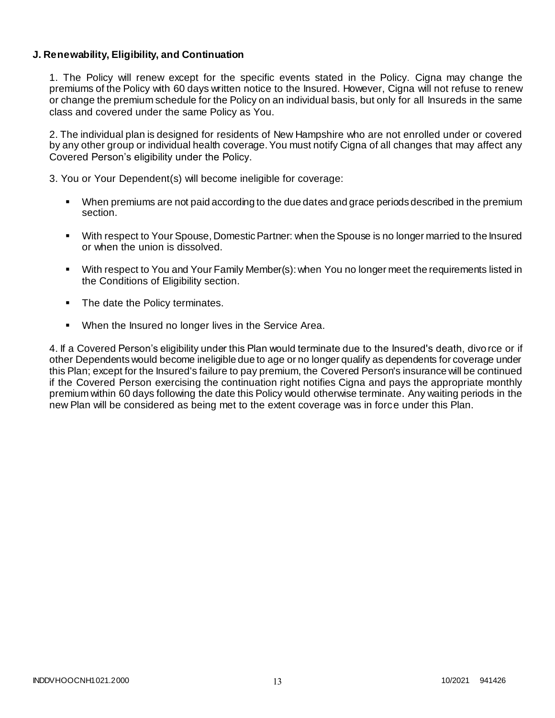# **J. Renewability, Eligibility, and Continuation**

1. The Policy will renew except for the specific events stated in the Policy. Cigna may change the premiums of the Policy with 60 days written notice to the Insured. However, Cigna will not refuse to renew or change the premium schedule for the Policy on an individual basis, but only for all Insureds in the same class and covered under the same Policy as You.

2. The individual plan is designed for residents of New Hampshire who are not enrolled under or covered by any other group or individual health coverage. You must notify Cigna of all changes that may affect any Covered Person's eligibility under the Policy.

3. You or Your Dependent(s) will become ineligible for coverage:

- When premiums are not paid according to the due dates and grace periods described in the premium section.
- With respect to Your Spouse, Domestic Partner: when the Spouse is no longer married to the Insured or when the union is dissolved.
- With respect to You and Your Family Member(s): when You no longer meet the requirements listed in the Conditions of Eligibility section.
- The date the Policy terminates.
- When the Insured no longer lives in the Service Area.

4. If a Covered Person's eligibility under this Plan would terminate due to the Insured's death, divorce or if other Dependents would become ineligible due to age or no longer qualify as dependents for coverage under this Plan; except for the Insured's failure to pay premium, the Covered Person's insurance will be continued if the Covered Person exercising the continuation right notifies Cigna and pays the appropriate monthly premium within 60 days following the date this Policy would otherwise terminate. Any waiting periods in the new Plan will be considered as being met to the extent coverage was in force under this Plan.